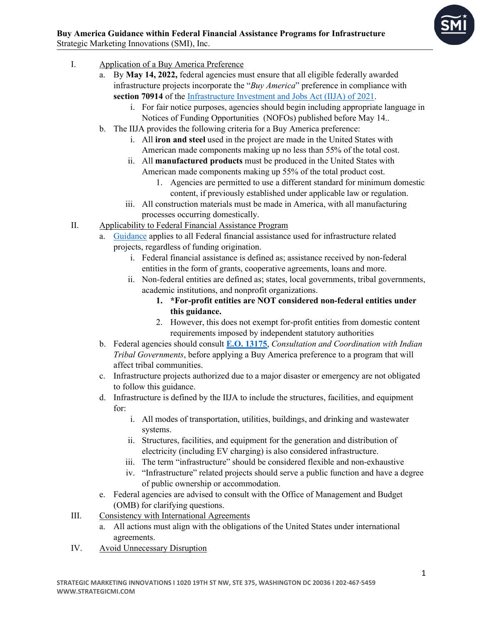- I. Application of a Buy America Preference
	- a. By **May 14, 2022,** federal agencies must ensure that all eligible federally awarded infrastructure projects incorporate the "*Buy America*" preference in compliance with **section 70914** of the [Infrastructure Investment and Jobs Act \(IIJA\) of 2021.](https://www.congress.gov/bill/117th-congress/house-bill/3684/text)
		- i. For fair notice purposes, agencies should begin including appropriate language in Notices of Funding Opportunities (NOFOs) published before May 14..
	- b. The IIJA provides the following criteria for a Buy America preference:
		- i. All **iron and steel** used in the project are made in the United States with American made components making up no less than 55% of the total cost.
		- ii. All **manufactured products** must be produced in the United States with American made components making up 55% of the total product cost.
			- 1. Agencies are permitted to use a different standard for minimum domestic content, if previously established under applicable law or regulation.
		- iii. All construction materials must be made in America, with all manufacturing processes occurring domestically.
- II. Applicability to Federal Financial Assistance Program
	- a. [Guidance](https://www.whitehouse.gov/wp-content/uploads/2022/04/M-22-11.pdf) applies to all Federal financial assistance used for infrastructure related projects, regardless of funding origination.
		- i. Federal financial assistance is defined as; assistance received by non-federal entities in the form of grants, cooperative agreements, loans and more.
		- ii. Non-federal entities are defined as; states, local governments, tribal governments, academic institutions, and nonprofit organizations.
			- **1. \*For-profit entities are NOT considered non-federal entities under this guidance.**
			- 2. However, this does not exempt for-profit entities from domestic content requirements imposed by independent statutory authorities
	- b. Federal agencies should consult **[E.O. 13175](https://www.federalregister.gov/documents/2000/11/09/00-29003/consultation-and-coordination-with-indian-tribal-governments)**, *Consultation and Coordination with Indian Tribal Governments*, before applying a Buy America preference to a program that will affect tribal communities.
	- c. Infrastructure projects authorized due to a major disaster or emergency are not obligated to follow this guidance.
	- d. Infrastructure is defined by the IIJA to include the structures, facilities, and equipment for:
		- i. All modes of transportation, utilities, buildings, and drinking and wastewater systems.
		- ii. Structures, facilities, and equipment for the generation and distribution of electricity (including EV charging) is also considered infrastructure.
		- iii. The term "infrastructure" should be considered flexible and non-exhaustive
		- iv. "Infrastructure" related projects should serve a public function and have a degree of public ownership or accommodation.
	- e. Federal agencies are advised to consult with the Office of Management and Budget (OMB) for clarifying questions.
- III. Consistency with International Agreements
	- a. All actions must align with the obligations of the United States under international agreements.
- IV. Avoid Unnecessary Disruption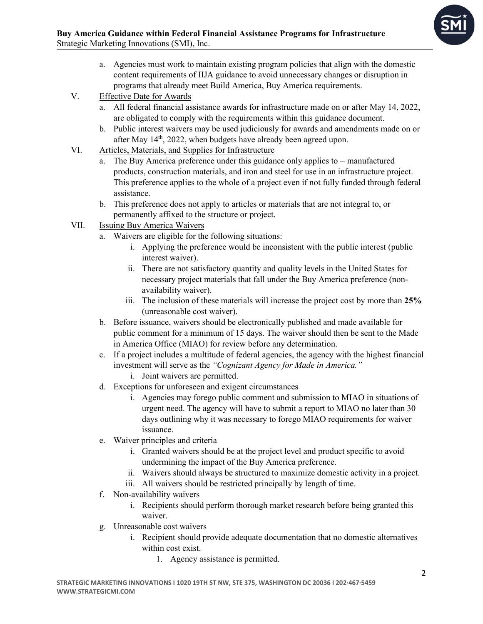- a. Agencies must work to maintain existing program policies that align with the domestic content requirements of IIJA guidance to avoid unnecessary changes or disruption in programs that already meet Build America, Buy America requirements.
- V. Effective Date for Awards
	- a. All federal financial assistance awards for infrastructure made on or after May 14, 2022, are obligated to comply with the requirements within this guidance document.
	- b. Public interest waivers may be used judiciously for awards and amendments made on or after May 14<sup>th</sup>, 2022, when budgets have already been agreed upon.
- VI. Articles, Materials, and Supplies for Infrastructure
	- a. The Buy America preference under this guidance only applies to  $=$  manufactured products, construction materials, and iron and steel for use in an infrastructure project. This preference applies to the whole of a project even if not fully funded through federal assistance.
	- b. This preference does not apply to articles or materials that are not integral to, or permanently affixed to the structure or project.
- VII. Issuing Buy America Waivers
	- a. Waivers are eligible for the following situations:
		- i. Applying the preference would be inconsistent with the public interest (public interest waiver).
		- ii. There are not satisfactory quantity and quality levels in the United States for necessary project materials that fall under the Buy America preference (nonavailability waiver).
		- iii. The inclusion of these materials will increase the project cost by more than **25%** (unreasonable cost waiver).
	- b. Before issuance, waivers should be electronically published and made available for public comment for a minimum of 15 days. The waiver should then be sent to the Made in America Office (MIAO) for review before any determination.
	- c. If a project includes a multitude of federal agencies, the agency with the highest financial investment will serve as the *"Cognizant Agency for Made in America."* i. Joint waivers are permitted.
	- d. Exceptions for unforeseen and exigent circumstances
		- i. Agencies may forego public comment and submission to MIAO in situations of urgent need. The agency will have to submit a report to MIAO no later than 30 days outlining why it was necessary to forego MIAO requirements for waiver issuance.
	- e. Waiver principles and criteria
		- i. Granted waivers should be at the project level and product specific to avoid undermining the impact of the Buy America preference.
		- ii. Waivers should always be structured to maximize domestic activity in a project.
		- iii. All waivers should be restricted principally by length of time.
	- f. Non-availability waivers
		- i. Recipients should perform thorough market research before being granted this waiver.
	- g. Unreasonable cost waivers
		- i. Recipient should provide adequate documentation that no domestic alternatives within cost exist.
			- 1. Agency assistance is permitted.